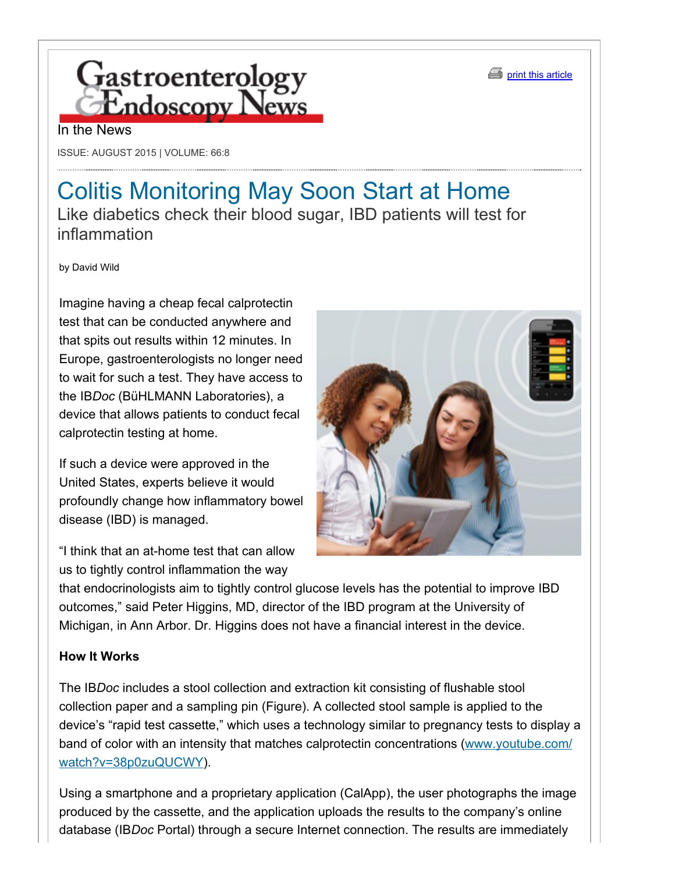



#### In the News

ISSUE: AUGUST 2015 | VOLUME: 66:8

# Colitis Monitoring May Soon Start at Home Like diabetics check their blood sugar, IBD patients will test for inflammation

by David Wild

Imagine having a cheap fecal calprotectin test that can be conducted anywhere and that spits out results within 12 minutes. In Europe, gastroenterologists no longer need to wait for such a test. They have access to the IB*Doc* (BüHLMANN Laboratories), a device that allows patients to conduct fecal calprotectin testing at home.

If such a device were approved in the United States, experts believe it would profoundly change how inflammatory bowel disease (IBD) is managed.

"I think that an at-home test that can allow us to tightly control inflammation the way



that endocrinologists aim to tightly control glucose levels has the potential to improve IBD outcomes," said Peter Higgins, MD, director of the IBD program at the University of Michigan, in Ann Arbor. Dr. Higgins does not have a financial interest in the device.

#### **How It Works**

The IB*Doc* includes a stool collection and extraction kit consisting of flushable stool collection paper and a sampling pin (Figure). A collected stool sample is applied to the device's "rapid test cassette," which uses a technology similar to pregnancy tests to display a band of color with an intensity that matches calprotectin concentrations (www.youtube.com/ watch?v=38p0zuQUCWY).

Using a smartphone and a proprietary application (CalApp), the user photographs the image produced by the cassette, and the application uploads the results to the company's online database (IB*Doc* Portal) through a secure Internet connection. The results are immediately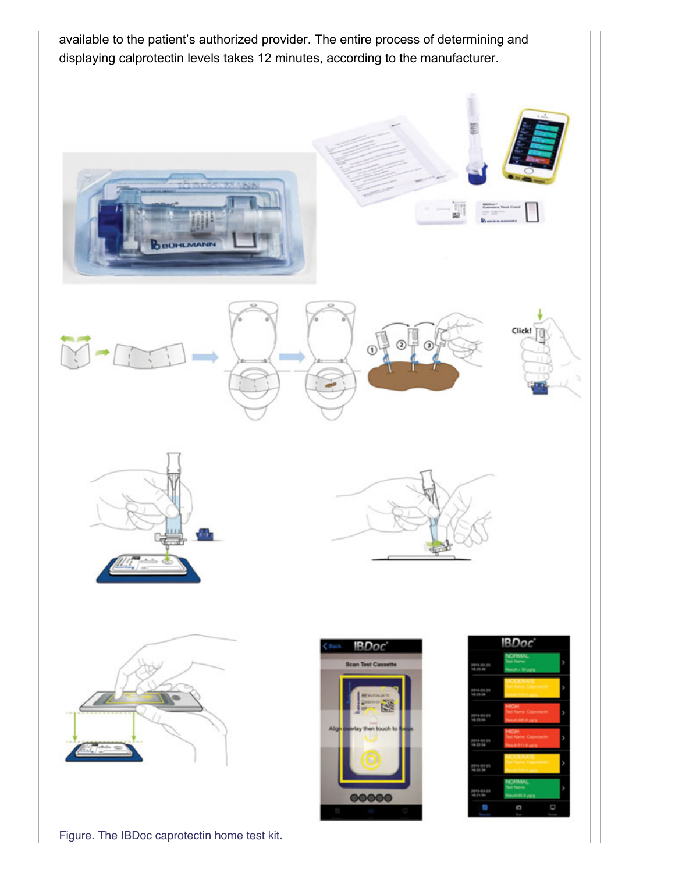

Figure. The IBDoc caprotectin home test kit.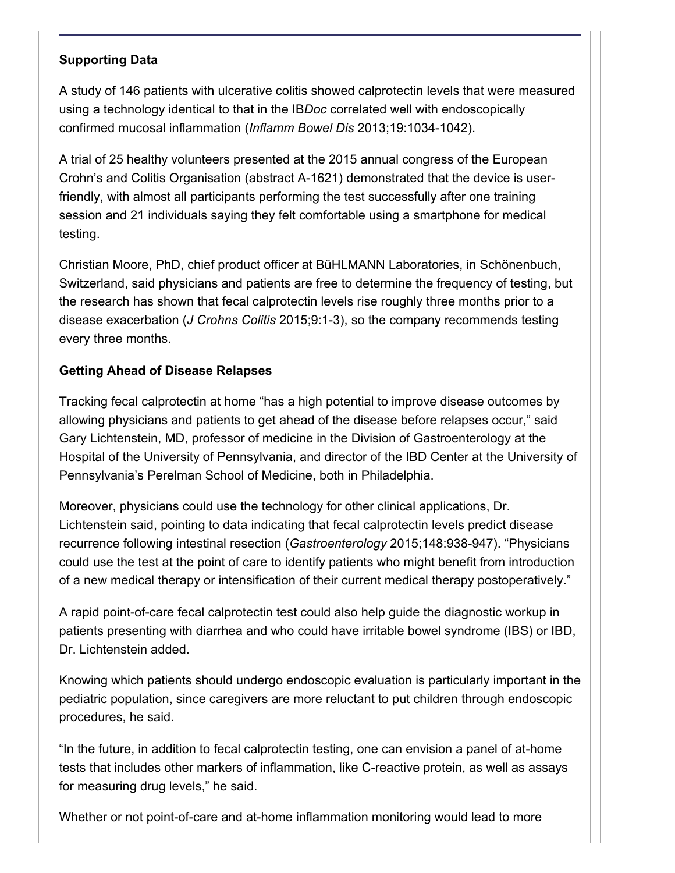### **Supporting Data**

A study of 146 patients with ulcerative colitis showed calprotectin levels that were measured using a technology identical to that in the IB*Doc* correlated well with endoscopically confirmed mucosal inflammation (*Inflamm Bowel Dis* 2013;19:1034-1042).

A trial of 25 healthy volunteers presented at the 2015 annual congress of the European Crohn's and Colitis Organisation (abstract A-1621) demonstrated that the device is userfriendly, with almost all participants performing the test successfully after one training session and 21 individuals saying they felt comfortable using a smartphone for medical testing.

Christian Moore, PhD, chief product officer at BüHLMANN Laboratories, in Schönenbuch, Switzerland, said physicians and patients are free to determine the frequency of testing, but the research has shown that fecal calprotectin levels rise roughly three months prior to a disease exacerbation (*J Crohns Colitis* 2015;9:13), so the company recommends testing every three months.

### **Getting Ahead of Disease Relapses**

Tracking fecal calprotectin at home "has a high potential to improve disease outcomes by allowing physicians and patients to get ahead of the disease before relapses occur," said Gary Lichtenstein, MD, professor of medicine in the Division of Gastroenterology at the Hospital of the University of Pennsylvania, and director of the IBD Center at the University of Pennsylvania's Perelman School of Medicine, both in Philadelphia.

Moreover, physicians could use the technology for other clinical applications, Dr. Lichtenstein said, pointing to data indicating that fecal calprotectin levels predict disease recurrence following intestinal resection (*Gastroenterology* 2015;148:938-947). "Physicians could use the test at the point of care to identify patients who might benefit from introduction of a new medical therapy or intensification of their current medical therapy postoperatively."

A rapid point-of-care fecal calprotectin test could also help guide the diagnostic workup in patients presenting with diarrhea and who could have irritable bowel syndrome (IBS) or IBD, Dr. Lichtenstein added.

Knowing which patients should undergo endoscopic evaluation is particularly important in the pediatric population, since caregivers are more reluctant to put children through endoscopic procedures, he said.

"In the future, in addition to fecal calprotectin testing, one can envision a panel of athome tests that includes other markers of inflammation, like C-reactive protein, as well as assays for measuring drug levels," he said.

Whether or not point-of-care and at-home inflammation monitoring would lead to more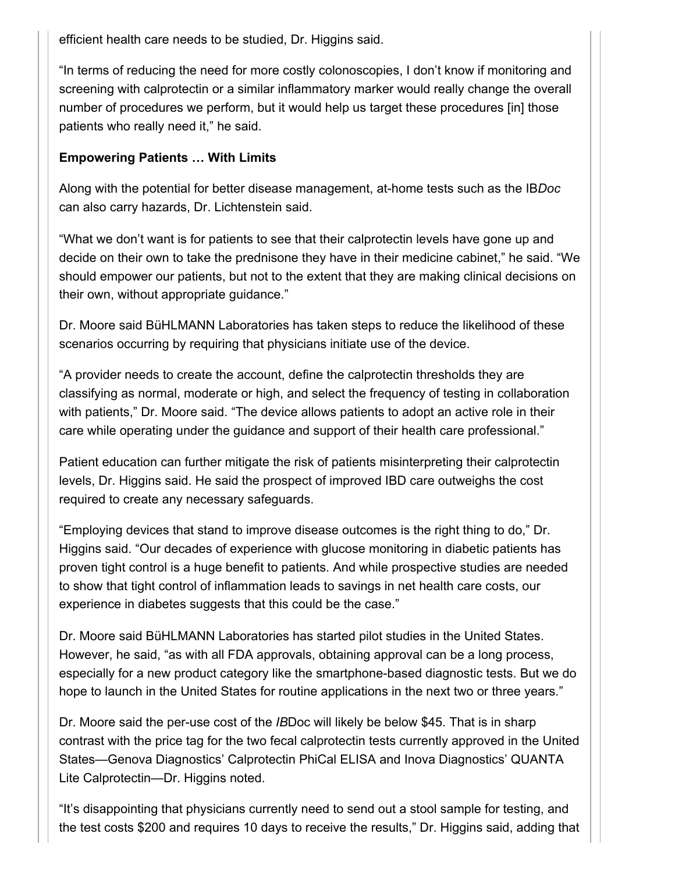efficient health care needs to be studied, Dr. Higgins said.

"In terms of reducing the need for more costly colonoscopies, I don't know if monitoring and screening with calprotectin or a similar inflammatory marker would really change the overall number of procedures we perform, but it would help us target these procedures [in] those patients who really need it," he said.

## **Empowering Patients … With Limits**

Along with the potential for better disease management, athome tests such as the IB*Doc* can also carry hazards, Dr. Lichtenstein said.

"What we don't want is for patients to see that their calprotectin levels have gone up and decide on their own to take the prednisone they have in their medicine cabinet," he said. "We should empower our patients, but not to the extent that they are making clinical decisions on their own, without appropriate guidance."

Dr. Moore said BüHLMANN Laboratories has taken steps to reduce the likelihood of these scenarios occurring by requiring that physicians initiate use of the device.

"A provider needs to create the account, define the calprotectin thresholds they are classifying as normal, moderate or high, and select the frequency of testing in collaboration with patients," Dr. Moore said. "The device allows patients to adopt an active role in their care while operating under the guidance and support of their health care professional."

Patient education can further mitigate the risk of patients misinterpreting their calprotectin levels, Dr. Higgins said. He said the prospect of improved IBD care outweighs the cost required to create any necessary safeguards.

"Employing devices that stand to improve disease outcomes is the right thing to do," Dr. Higgins said. "Our decades of experience with glucose monitoring in diabetic patients has proven tight control is a huge benefit to patients. And while prospective studies are needed to show that tight control of inflammation leads to savings in net health care costs, our experience in diabetes suggests that this could be the case."

Dr. Moore said BüHLMANN Laboratories has started pilot studies in the United States. However, he said, "as with all FDA approvals, obtaining approval can be a long process, especially for a new product category like the smartphone-based diagnostic tests. But we do hope to launch in the United States for routine applications in the next two or three years."

Dr. Moore said the per-use cost of the *IB*Doc will likely be below \$45. That is in sharp contrast with the price tag for the two fecal calprotectin tests currently approved in the United States—Genova Diagnostics' Calprotectin PhiCal ELISA and Inova Diagnostics' QUANTA Lite Calprotectin—Dr. Higgins noted.

"It's disappointing that physicians currently need to send out a stool sample for testing, and the test costs \$200 and requires 10 days to receive the results," Dr. Higgins said, adding that